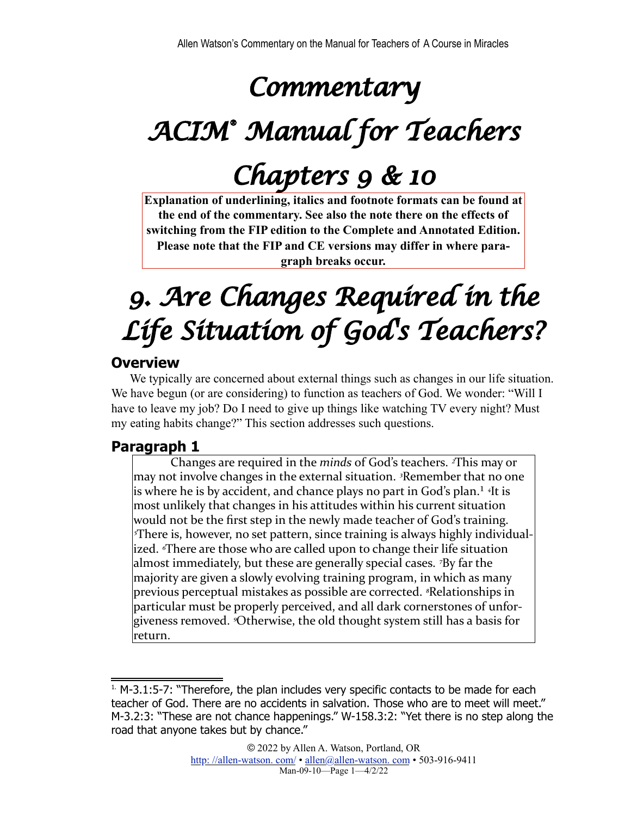## *Commentary*

# *ACIM® Manual for Teachers*

## *Chapters 9 & 10*

**Explanation of underlining, italics and footnote formats can be found at the end of the commentary. See also the note there on the effects of switching from the FIP edition to the Complete and Annotated Edition. Please note that the FIP and CE versions may differ in where paragraph breaks occur.**

## *9. Are Changes Required in the Life Situation of God's Teachers?*

### **Overview**

We typically are concerned about external things such as changes in our life situation. We have begun (or are considering) to function as teachers of God. We wonder: "Will I have to leave my job? Do I need to give up things like watching TV every night? Must my eating habits change?" This section addresses such questions.

## **Paragraph 1**

<span id="page-0-1"></span>Changes are required in the *minds* of God's teachers. <sup>2</sup>This may or may not involve changes in the external situation. <sup>3</sup>Remember that no one is where he is by accident, and chance plays no part in God's plan.<sup>1</sup> <sup>4</sup>It is most unlikely that changes in his attitudes within his current situation would not be the first step in the newly made teacher of God's training. *<sup>5*There is, however, no set pattern, since training is always highly individual-</sup> ized. *There are those who are called upon to change their life situation* almost immediately, but these are generally special cases. <sup>7</sup>By far the majority are given a slowly evolving training program, in which as many previous perceptual mistakes as possible are corrected. <sup>*§*Relationships in</sup> particular must be properly perceived, and all dark cornerstones of unforgiveness removed. *<sup>3</sup>Otherwise*, the old thought system still has a basis for return.

<span id="page-0-0"></span> $1.$  M-3.1:5-7: "Therefore, the plan includes very specific contacts to be made for each teacher of God. There are no accidents in salvation. Those who are to meet will meet." M-3.2:3: "These are not chance happenings." W-158.3:2: "Yet there is no step along the road that anyone takes but by chance."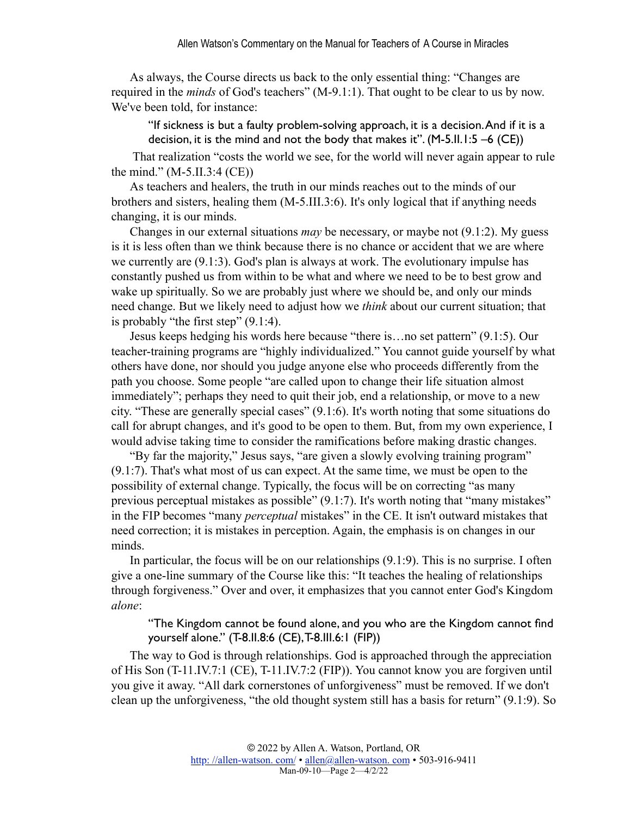As always, the Course directs us back to the only essential thing: "Changes are required in the *minds* of God's teachers" (M-9.1:1). That ought to be clear to us by now. We've been told, for instance:

"If sickness is but a faulty problem-solving approach, it is a decision. And if it is a decision, it is the mind and not the body that makes it".  $(M-5.I.I.1:5-6$  (CE))

 That realization "costs the world we see, for the world will never again appear to rule the mind." (M-5.II.3:4 (CE))

As teachers and healers, the truth in our minds reaches out to the minds of our brothers and sisters, healing them (M-5.III.3:6). It's only logical that if anything needs changing, it is our minds.

Changes in our external situations *may* be necessary, or maybe not (9.1:2). My guess is it is less often than we think because there is no chance or accident that we are where we currently are (9.1:3). God's plan is always at work. The evolutionary impulse has constantly pushed us from within to be what and where we need to be to best grow and wake up spiritually. So we are probably just where we should be, and only our minds need change. But we likely need to adjust how we *think* about our current situation; that is probably "the first step" (9.1:4).

Jesus keeps hedging his words here because "there is…no set pattern" (9.1:5). Our teacher-training programs are "highly individualized." You cannot guide yourself by what others have done, nor should you judge anyone else who proceeds differently from the path you choose. Some people "are called upon to change their life situation almost immediately"; perhaps they need to quit their job, end a relationship, or move to a new city. "These are generally special cases" (9.1:6). It's worth noting that some situations do call for abrupt changes, and it's good to be open to them. But, from my own experience, I would advise taking time to consider the ramifications before making drastic changes.

"By far the majority," Jesus says, "are given a slowly evolving training program" (9.1:7). That's what most of us can expect. At the same time, we must be open to the possibility of external change. Typically, the focus will be on correcting "as many previous perceptual mistakes as possible" (9.1:7). It's worth noting that "many mistakes" in the FIP becomes "many *perceptual* mistakes" in the CE. It isn't outward mistakes that need correction; it is mistakes in perception. Again, the emphasis is on changes in our minds.

In particular, the focus will be on our relationships (9.1:9). This is no surprise. I often give a one-line summary of the Course like this: "It teaches the healing of relationships through forgiveness." Over and over, it emphasizes that you cannot enter God's Kingdom *alone*:

#### "The Kingdom cannot be found alone, and you who are the Kingdom cannot find yourself alone." (T-8.II.8:6 (CE), T-8.III.6:1 (FIP))

The way to God is through relationships. God is approached through the appreciation of His Son (T-11.IV.7:1 (CE), T-11.IV.7:2 (FIP)). You cannot know you are forgiven until you give it away. "All dark cornerstones of unforgiveness" must be removed. If we don't clean up the unforgiveness, "the old thought system still has a basis for return" (9.1:9). So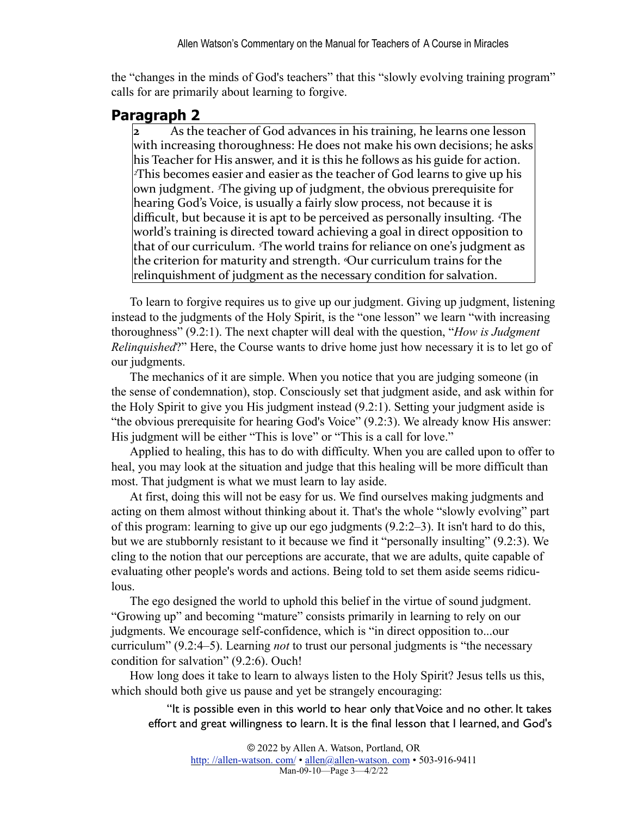the "changes in the minds of God's teachers" that this "slowly evolving training program" calls for are primarily about learning to forgive.

### **Paragraph 2**

**2** As the teacher of God advances in his training, he learns one lesson with increasing thoroughness: He does not make his own decisions; he asks his Teacher for His answer, and it is this he follows as his guide for action. *z***This** becomes easier and easier as the teacher of God learns to give up his own judgment. <sup>*I*The giving up of judgment, the obvious prerequisite for</sup> hearing God's Voice, is usually a fairly slow process, not because it is difficult, but because it is apt to be perceived as personally insulting. <sup>*«*The</sup> world's training is directed toward achieving a goal in direct opposition to that of our curriculum. <sup>*s*The world trains for reliance on one's judgment as</sup> the criterion for maturity and strength. *Our curriculum trains* for the relinquishment of judgment as the necessary condition for salvation.

To learn to forgive requires us to give up our judgment. Giving up judgment, listening instead to the judgments of the Holy Spirit, is the "one lesson" we learn "with increasing thoroughness" (9.2:1). The next chapter will deal with the question, "*How is Judgment Relinquished*?" Here, the Course wants to drive home just how necessary it is to let go of our judgments.

The mechanics of it are simple. When you notice that you are judging someone (in the sense of condemnation), stop. Consciously set that judgment aside, and ask within for the Holy Spirit to give you His judgment instead (9.2:1). Setting your judgment aside is "the obvious prerequisite for hearing God's Voice" (9.2:3). We already know His answer: His judgment will be either "This is love" or "This is a call for love."

Applied to healing, this has to do with difficulty. When you are called upon to offer to heal, you may look at the situation and judge that this healing will be more difficult than most. That judgment is what we must learn to lay aside.

At first, doing this will not be easy for us. We find ourselves making judgments and acting on them almost without thinking about it. That's the whole "slowly evolving" part of this program: learning to give up our ego judgments (9.2:2–3). It isn't hard to do this, but we are stubbornly resistant to it because we find it "personally insulting" (9.2:3). We cling to the notion that our perceptions are accurate, that we are adults, quite capable of evaluating other people's words and actions. Being told to set them aside seems ridiculous.

The ego designed the world to uphold this belief in the virtue of sound judgment. "Growing up" and becoming "mature" consists primarily in learning to rely on our judgments. We encourage self-confidence, which is "in direct opposition to...our curriculum" (9.2:4–5). Learning *not* to trust our personal judgments is "the necessary condition for salvation" (9.2:6). Ouch!

How long does it take to learn to always listen to the Holy Spirit? Jesus tells us this, which should both give us pause and yet be strangely encouraging:

"It is possible even in this world to hear only that Voice and no other. It takes effort and great willingness to learn. It is the final lesson that I learned, and God's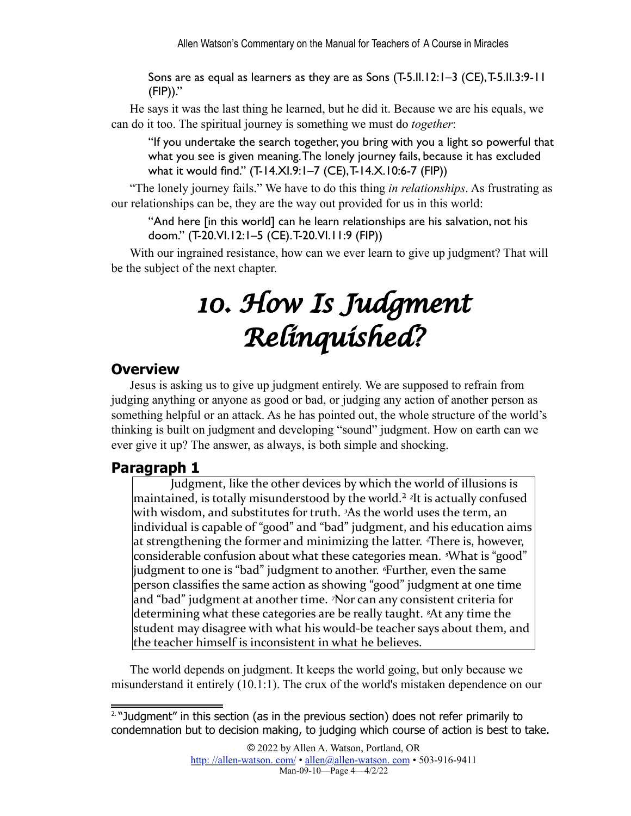Sons are as equal as learners as they are as Sons (T-5.II.12:1–3 (CE), T-5.II.3:9-11 (FIP))."

He says it was the last thing he learned, but he did it. Because we are his equals, we can do it too. The spiritual journey is something we must do *together*:

"If you undertake the search together, you bring with you a light so powerful that what you see is given meaning. The lonely journey fails, because it has excluded what it would find." (T-14.XI.9:1–7 (CE), T-14.X.10:6-7 (FIP))

"The lonely journey fails." We have to do this thing *in relationships*. As frustrating as our relationships can be, they are the way out provided for us in this world:

"And here [in this world] can he learn relationships are his salvation, not his doom." (T-20.VI.12:1–5 (CE). T-20.VI.11:9 (FIP))

With our ingrained resistance, how can we ever learn to give up judgment? That will be the subject of the next chapter.

## *10. How Is Judgment Relinquished?*

### **Overview**

Jesus is asking us to give up judgment entirely. We are supposed to refrain from judging anything or anyone as good or bad, or judging any action of another person as something helpful or an attack. As he has pointed out, the whole structure of the world's thinking is built on judgment and developing "sound" judgment. How on earth can we ever give it up? The answer, as always, is both simple and shocking.

## **Paragraph 1**

<span id="page-3-1"></span>Judgment, like the other devices by which the world of illusions is maintained, is totally misunderstood by the world.<sup>2</sup> <sup>2</sup>It is actually confused with wisdom, and substitutes for truth. <sup>3</sup>As the world uses the term, an individual is capable of "good" and "bad" judgment, and his education aims at strengthening the former and minimizing the latter. <sup>There</sup> is, however, considerable confusion about what these categories mean. <sup>*s*</sup>What is "good" judgment to one is "bad" judgment to another. <sup>*«Further, even the same*</sup> person classifies the same action as showing "good" judgment at one time and "bad" judgment at another time. <sup>7</sup>Nor can any consistent criteria for determining what these categories are be really taught. <sup>*8*</sup>At any time the student may disagree with what his would-be teacher says about them, and the teacher himself is inconsistent in what he believes.

The world depends on judgment. It keeps the world going, but only because we misunderstand it entirely (10.1:1). The crux of the world's mistaken dependence on our

© 2022 by Allen A. Watson, Portland, OR http://allen-watson.com/ • allen@allen-watson.com • 503-916-9411 Man-09-10—Page 4—4/2/22

<span id="page-3-0"></span><sup>&</sup>lt;sup>[2.](#page-3-1)</sup> "Judgment" in this section (as in the previous section) does not refer primarily to condemnation but to decision making, to judging which course of action is best to take.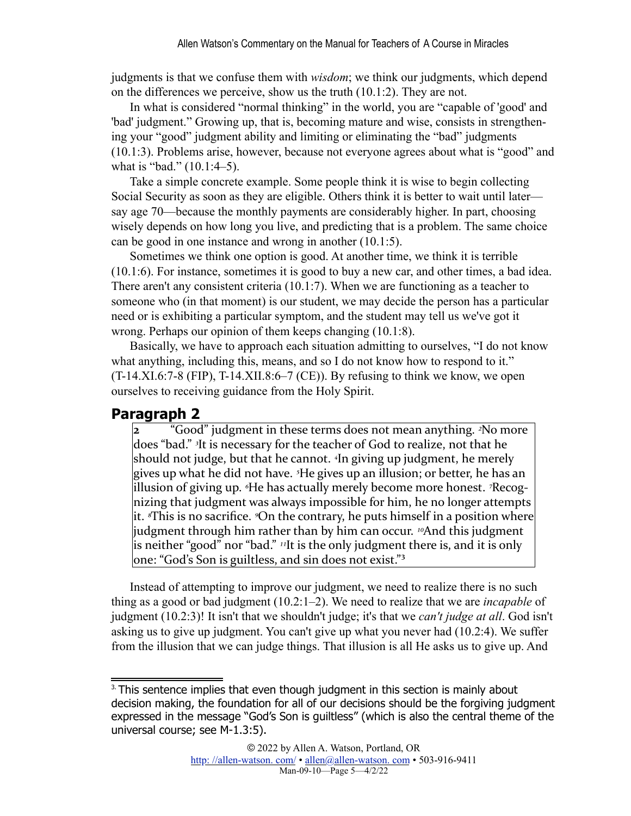judgments is that we confuse them with *wisdom*; we think our judgments, which depend on the differences we perceive, show us the truth (10.1:2). They are not.

In what is considered "normal thinking" in the world, you are "capable of 'good' and 'bad' judgment." Growing up, that is, becoming mature and wise, consists in strengthening your "good" judgment ability and limiting or eliminating the "bad" judgments (10.1:3). Problems arise, however, because not everyone agrees about what is "good" and what is "bad." (10.1:4–5).

Take a simple concrete example. Some people think it is wise to begin collecting Social Security as soon as they are eligible. Others think it is better to wait until later say age 70—because the monthly payments are considerably higher. In part, choosing wisely depends on how long you live, and predicting that is a problem. The same choice can be good in one instance and wrong in another (10.1:5).

Sometimes we think one option is good. At another time, we think it is terrible (10.1:6). For instance, sometimes it is good to buy a new car, and other times, a bad idea. There aren't any consistent criteria (10.1:7). When we are functioning as a teacher to someone who (in that moment) is our student, we may decide the person has a particular need or is exhibiting a particular symptom, and the student may tell us we've got it wrong. Perhaps our opinion of them keeps changing (10.1:8).

Basically, we have to approach each situation admitting to ourselves, "I do not know what anything, including this, means, and so I do not know how to respond to it."  $(T-14.XI.6:7-8 (FIP), T-14.XII.8:6-7 (CE))$ . By refusing to think we know, we open ourselves to receiving guidance from the Holy Spirit.

#### **Paragraph 2**

**2** "Good" judgment in these terms does not mean anything. <sup>2</sup>No more does "bad." <sup>3</sup>It is necessary for the teacher of God to realize, not that he should not judge, but that he cannot. <sup>4</sup>In giving up judgment, he merely gives up what he did not have. <sup>*5*</sup>He gives up an illusion; or better, he has an illusion of giving up. <sup>*«*He has actually merely become more honest. <sup>7</sup>Recog-</sup> nizing that judgment was always impossible for him, he no longer attempts it. *<sup><i>s*This is no sacrifice. On the contrary, he puts himself in a position where</sup> judgment through him rather than by him can occur. <sup>10</sup>And this judgment is neither "good" nor "bad." <sup>11</sup>It is the only judgment there is, and it is only  $\alpha$  one: "God's Son is guiltless, and sin does not exist."<sup>3</sup>

<span id="page-4-1"></span>Instead of attempting to improve our judgment, we need to realize there is no such thing as a good or bad judgment (10.2:1–2). We need to realize that we are *incapable* of judgment (10.2:3)! It isn't that we shouldn't judge; it's that we *can't judge at all*. God isn't asking us to give up judgment. You can't give up what you never had (10.2:4). We suffer from the illusion that we can judge things. That illusion is all He asks us to give up. And

<span id="page-4-0"></span><sup>&</sup>lt;sup>[3.](#page-4-1)</sup> This sentence implies that even though judgment in this section is mainly about decision making, the foundation for all of our decisions should be the forgiving judgment expressed in the message "God's Son is guiltless" (which is also the central theme of the universal course; see M-1.3:5).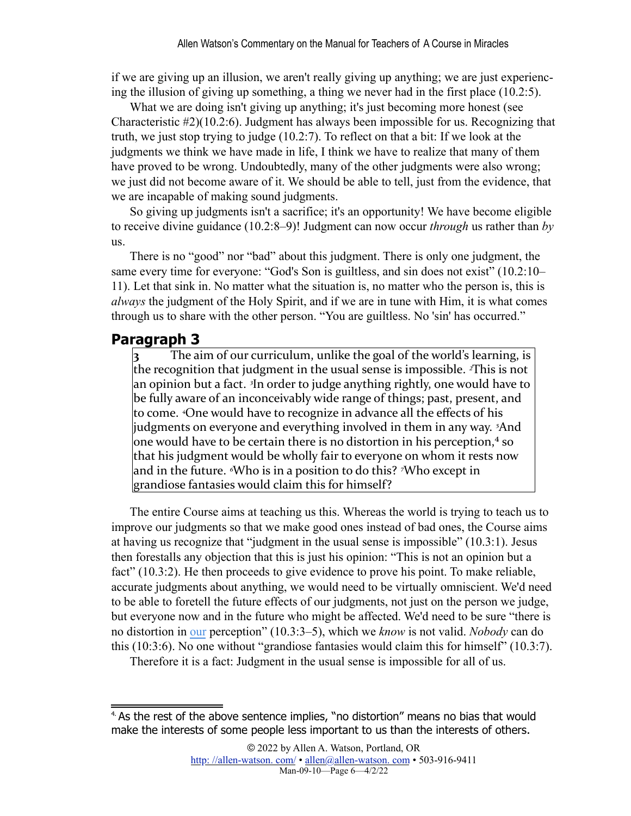if we are giving up an illusion, we aren't really giving up anything; we are just experiencing the illusion of giving up something, a thing we never had in the first place (10.2:5).

What we are doing isn't giving up anything; it's just becoming more honest (see Characteristic #2)(10.2:6). Judgment has always been impossible for us. Recognizing that truth, we just stop trying to judge (10.2:7). To reflect on that a bit: If we look at the judgments we think we have made in life, I think we have to realize that many of them have proved to be wrong. Undoubtedly, many of the other judgments were also wrong; we just did not become aware of it. We should be able to tell, just from the evidence, that we are incapable of making sound judgments.

So giving up judgments isn't a sacrifice; it's an opportunity! We have become eligible to receive divine guidance (10.2:8–9)! Judgment can now occur *through* us rather than *by* us.

There is no "good" nor "bad" about this judgment. There is only one judgment, the same every time for everyone: "God's Son is guiltless, and sin does not exist" (10.2:10– 11). Let that sink in. No matter what the situation is, no matter who the person is, this is *always* the judgment of the Holy Spirit, and if we are in tune with Him, it is what comes through us to share with the other person. "You are guiltless. No 'sin' has occurred."

#### **Paragraph 3**

**3** The aim of our curriculum, unlike the goal of the world's learning, is the recognition that judgment in the usual sense is impossible.  $\alpha$ This is not an opinion but a fact. <sup>3</sup>In order to judge anything rightly, one would have to be fully aware of an inconceivably wide range of things; past, present, and to come. *<sup>4</sup>One would have to recognize* in advance all the effects of his judgments on everyone and everything involved in them in any way. <sup>5</sup>And one would have to be certain there is no distortion in his perception, $4$  so that his judgment would be wholly fair to everyone on whom it rests now and in the future. <sup>*«*Who is in a position to do this? *<sup>7</sup>*Who except in</sup>  $grandiose$  fantasies would claim this for himself?

<span id="page-5-1"></span>The entire Course aims at teaching us this. Whereas the world is trying to teach us to improve our judgments so that we make good ones instead of bad ones, the Course aims at having us recognize that "judgment in the usual sense is impossible" (10.3:1). Jesus then forestalls any objection that this is just his opinion: "This is not an opinion but a fact" (10.3:2). He then proceeds to give evidence to prove his point. To make reliable, accurate judgments about anything, we would need to be virtually omniscient. We'd need to be able to foretell the future effects of our judgments, not just on the person we judge, but everyone now and in the future who might be affected. We'd need to be sure "there is no distortion in our perception" (10.3:3–5), which we *know* is not valid. *Nobody* can do this (10:3:6). No one without "grandiose fantasies would claim this for himself" (10.3:7).

Therefore it is a fact: Judgment in the usual sense is impossible for all of us.

<span id="page-5-0"></span>[<sup>4.</sup>](#page-5-1) As the rest of the above sentence implies, "no distortion" means no bias that would make the interests of some people less important to us than the interests of others.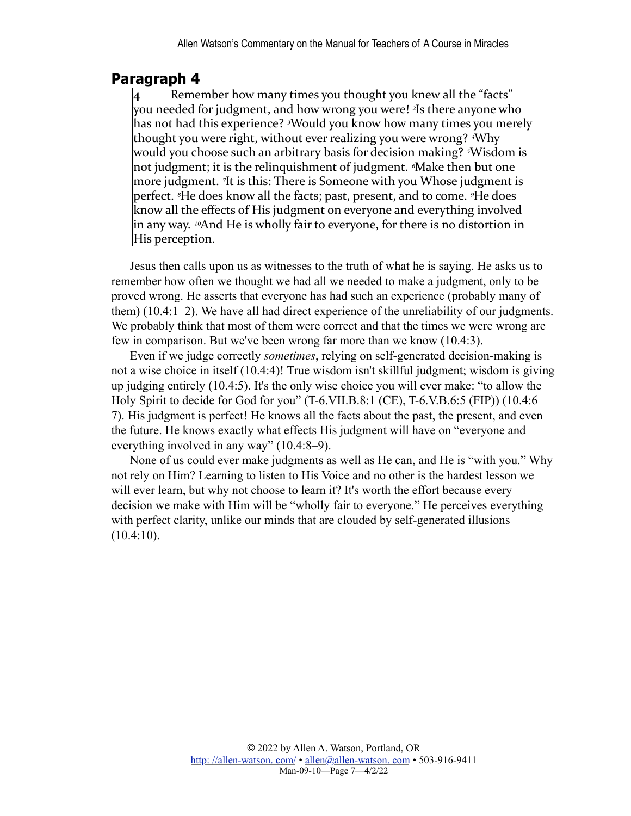### **Paragraph 4**

**4** Remember how many times you thought you knew all the "facts" you needed for judgment, and how wrong you were! <sup>2</sup>Is there anyone who has not had this experience? <sup>3</sup>Would you know how many times you merely thought you were right, without ever realizing you were wrong? <sup>4</sup>Why would you choose such an arbitrary basis for decision making? <sup>*s*</sup>Wisdom is not judgment; it is the relinquishment of judgment. <sup>*Make* then but one</sup> more judgment. <sup>7</sup>It is this: There is Someone with you Whose judgment is perfect. <sup>*8*He does know all the facts; past, present, and to come. <sup>9</sup>He does</sup> know all the effects of His judgment on everyone and everything involved in any way. <sup>10</sup>And He is wholly fair to everyone, for there is no distortion in His perception.

Jesus then calls upon us as witnesses to the truth of what he is saying. He asks us to remember how often we thought we had all we needed to make a judgment, only to be proved wrong. He asserts that everyone has had such an experience (probably many of them) (10.4:1–2). We have all had direct experience of the unreliability of our judgments. We probably think that most of them were correct and that the times we were wrong are few in comparison. But we've been wrong far more than we know (10.4:3).

Even if we judge correctly *sometimes*, relying on self-generated decision-making is not a wise choice in itself (10.4:4)! True wisdom isn't skillful judgment; wisdom is giving up judging entirely (10.4:5). It's the only wise choice you will ever make: "to allow the Holy Spirit to decide for God for you" (T-6.VII.B.8:1 (CE), T-6.V.B.6:5 (FIP)) (10.4:6– 7). His judgment is perfect! He knows all the facts about the past, the present, and even the future. He knows exactly what effects His judgment will have on "everyone and everything involved in any way" (10.4:8–9).

None of us could ever make judgments as well as He can, and He is "with you." Why not rely on Him? Learning to listen to His Voice and no other is the hardest lesson we will ever learn, but why not choose to learn it? It's worth the effort because every decision we make with Him will be "wholly fair to everyone." He perceives everything with perfect clarity, unlike our minds that are clouded by self-generated illusions  $(10.4:10)$ .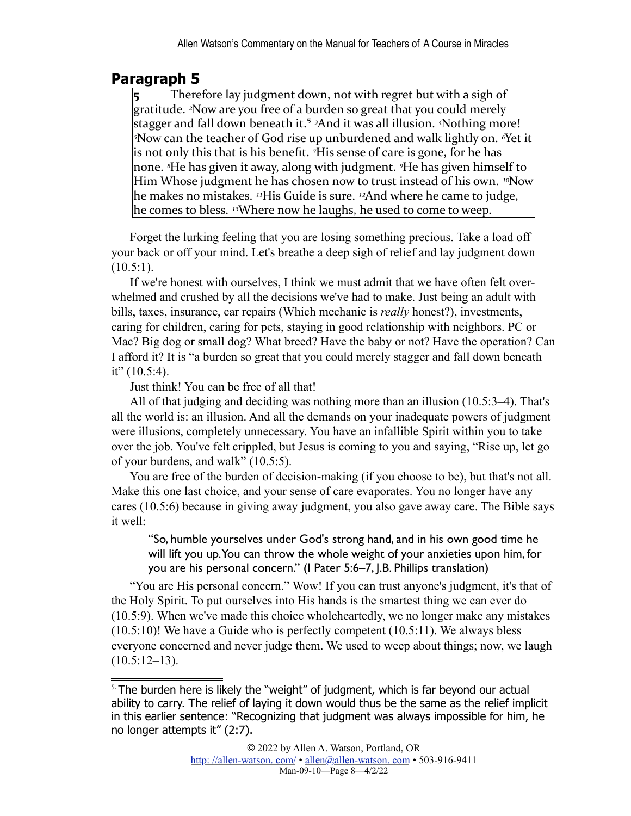## **Paragraph 5**

<span id="page-7-1"></span>Therefore lay judgment down, not with regret but with a sigh of gratitude. <sup>2</sup>Now are you free of a burden so great that you could merely stagger and fall down beneath it.<sup>5</sup> <sup>3</sup>And it was all illusion. <sup>4</sup>Nothing more! *<sup>5</sup>Now can the teacher of God rise up unburdened and walk lightly on. <sup><i>§*Yet it</sup> is not only this that is his benefit. <sup>7</sup>His sense of care is gone, for he has none. <sup>*§*He has given it away, along with judgment. <sup>9</sup>He has given himself to</sup> Him Whose judgment he has chosen now to trust instead of his own. <sup>10</sup>Now he makes no mistakes. <sup>11</sup>His Guide is sure. <sup>12</sup>And where he came to judge, he comes to bless. <sup>13</sup>Where now he laughs, he used to come to weep.

Forget the lurking feeling that you are losing something precious. Take a load off your back or off your mind. Let's breathe a deep sigh of relief and lay judgment down  $(10.5:1)$ .

If we're honest with ourselves, I think we must admit that we have often felt overwhelmed and crushed by all the decisions we've had to make. Just being an adult with bills, taxes, insurance, car repairs (Which mechanic is *really* honest?), investments, caring for children, caring for pets, staying in good relationship with neighbors. PC or Mac? Big dog or small dog? What breed? Have the baby or not? Have the operation? Can I afford it? It is "a burden so great that you could merely stagger and fall down beneath it"  $(10.5:4)$ .

Just think! You can be free of all that!

All of that judging and deciding was nothing more than an illusion (10.5:3–4). That's all the world is: an illusion. And all the demands on your inadequate powers of judgment were illusions, completely unnecessary. You have an infallible Spirit within you to take over the job. You've felt crippled, but Jesus is coming to you and saying, "Rise up, let go of your burdens, and walk" (10.5:5).

You are free of the burden of decision-making (if you choose to be), but that's not all. Make this one last choice, and your sense of care evaporates. You no longer have any cares (10.5:6) because in giving away judgment, you also gave away care. The Bible says it well:

"So, humble yourselves under God's strong hand, and in his own good time he will lift you up. You can throw the whole weight of your anxieties upon him, for you are his personal concern." (I Pater 5:6–7, J.B. Phillips translation)

"You are His personal concern." Wow! If you can trust anyone's judgment, it's that of the Holy Spirit. To put ourselves into His hands is the smartest thing we can ever do (10.5:9). When we've made this choice wholeheartedly, we no longer make any mistakes (10.5:10)! We have a Guide who is perfectly competent (10.5:11). We always bless everyone concerned and never judge them. We used to weep about things; now, we laugh  $(10.5:12-13)$ .

<span id="page-7-0"></span><sup>&</sup>lt;sup>[5.](#page-7-1)</sup> The burden here is likely the "weight" of judgment, which is far beyond our actual ability to carry. The relief of laying it down would thus be the same as the relief implicit in this earlier sentence: "Recognizing that judgment was always impossible for him, he no longer attempts it" (2:7).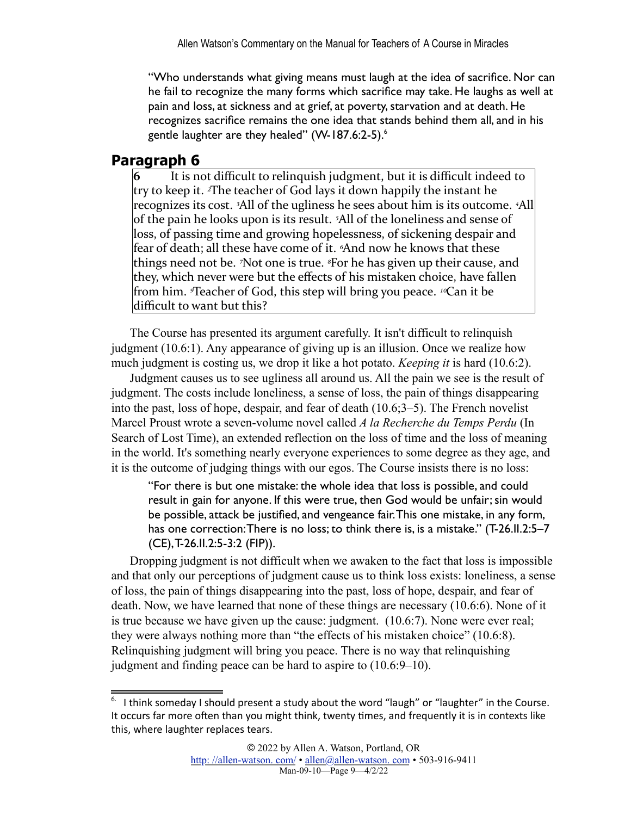"Who understands what giving means must laugh at the idea of sacrifice. Nor can he fail to recognize the many forms which sacrifice may take. He laughs as well at pain and loss, at sickness and at grief, at poverty, starvation and at death. He recognizes sacrifice remains the one idea that stands behind them all, and in his gentle laughter are they healed" (W-187.[6](#page-8-0):2-5).<sup>6</sup>

#### <span id="page-8-1"></span>**Paragraph 6**

 $\bf{6}$  It is not difficult to relinquish judgment, but it is difficult indeed to try to keep it. <sup>2</sup>The teacher of God lays it down happily the instant he recognizes its cost. <sup>3</sup>All of the ugliness he sees about him is its outcome. <sup>4</sup>All of the pain he looks upon is its result. <sup>5</sup>All of the loneliness and sense of loss, of passing time and growing hopelessness, of sickening despair and fear of death; all these have come of it. <sup>6</sup>And now he knows that these things need not be. *<sup>7</sup>Not one* is true. <sup>*§*For he has given up their cause, and</sup> they, which never were but the effects of his mistaken choice, have fallen from him. *I* Teacher of God, this step will bring you peace. <sup>10</sup>Can it be difficult to want but this?

The Course has presented its argument carefully. It isn't difficult to relinquish judgment (10.6:1). Any appearance of giving up is an illusion. Once we realize how much judgment is costing us, we drop it like a hot potato. *Keeping it* is hard (10.6:2).

Judgment causes us to see ugliness all around us. All the pain we see is the result of judgment. The costs include loneliness, a sense of loss, the pain of things disappearing into the past, loss of hope, despair, and fear of death (10.6;3–5). The French novelist Marcel Proust wrote a seven-volume novel called *A la Recherche du Temps Perdu* (In Search of Lost Time), an extended reflection on the loss of time and the loss of meaning in the world. It's something nearly everyone experiences to some degree as they age, and it is the outcome of judging things with our egos. The Course insists there is no loss:

"For there is but one mistake: the whole idea that loss is possible, and could result in gain for anyone. If this were true, then God would be unfair; sin would be possible, attack be justified, and vengeance fair. This one mistake, in any form, has one correction: There is no loss; to think there is, is a mistake." (T-26.II.2:5–7 (CE), T-26.II.2:5-3:2 (FIP)).

Dropping judgment is not difficult when we awaken to the fact that loss is impossible and that only our perceptions of judgment cause us to think loss exists: loneliness, a sense of loss, the pain of things disappearing into the past, loss of hope, despair, and fear of death. Now, we have learned that none of these things are necessary (10.6:6). None of it is true because we have given up the cause: judgment. (10.6:7). None were ever real; they were always nothing more than "the effects of his mistaken choice" (10.6:8). Relinquishing judgment will bring you peace. There is no way that relinquishing judgment and finding peace can be hard to aspire to (10.6:9–10).

<span id="page-8-0"></span> $6.$  I think someday I should present a study about the word "laugh" or "laughter" in the Course. It occurs far more often than you might think, twenty times, and frequently it is in contexts like this, where laughter replaces tears.